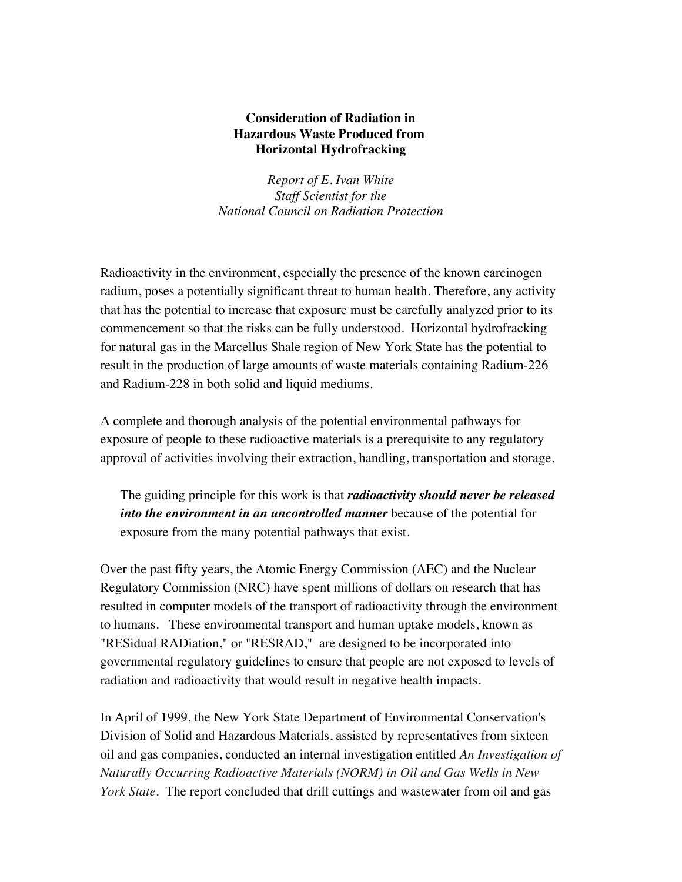## **Consideration of Radiation in Hazardous Waste Produced from Horizontal Hydrofracking**

*Report of E. Ivan White Staff Scientist for the National Council on Radiation Protection*

Radioactivity in the environment, especially the presence of the known carcinogen radium, poses a potentially significant threat to human health. Therefore, any activity that has the potential to increase that exposure must be carefully analyzed prior to its commencement so that the risks can be fully understood. Horizontal hydrofracking for natural gas in the Marcellus Shale region of New York State has the potential to result in the production of large amounts of waste materials containing Radium-226 and Radium-228 in both solid and liquid mediums.

A complete and thorough analysis of the potential environmental pathways for exposure of people to these radioactive materials is a prerequisite to any regulatory approval of activities involving their extraction, handling, transportation and storage.

The guiding principle for this work is that *radioactivity should never be released into the environment in an uncontrolled manner* because of the potential for exposure from the many potential pathways that exist.

Over the past fifty years, the Atomic Energy Commission (AEC) and the Nuclear Regulatory Commission (NRC) have spent millions of dollars on research that has resulted in computer models of the transport of radioactivity through the environment to humans. These environmental transport and human uptake models, known as "RESidual RADiation," or "RESRAD," are designed to be incorporated into governmental regulatory guidelines to ensure that people are not exposed to levels of radiation and radioactivity that would result in negative health impacts.

In April of 1999, the New York State Department of Environmental Conservation's Division of Solid and Hazardous Materials, assisted by representatives from sixteen oil and gas companies, conducted an internal investigation entitled *An Investigation of Naturally Occurring Radioactive Materials (NORM) in Oil and Gas Wells in New York State.* The report concluded that drill cuttings and wastewater from oil and gas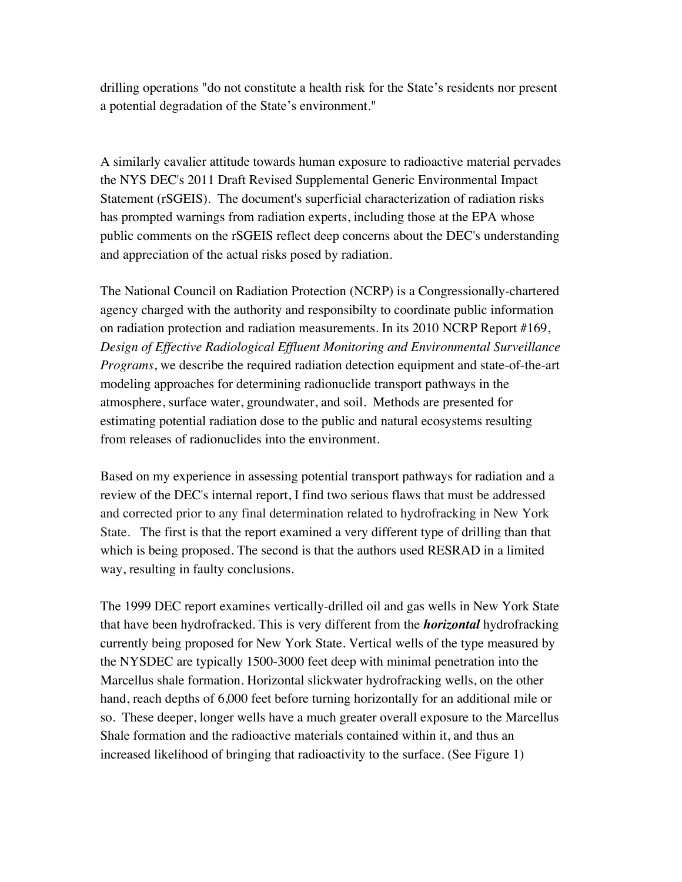drilling operations "do not constitute a health risk for the State's residents nor present a potential degradation of the State's environment."

A similarly cavalier attitude towards human exposure to radioactive material pervades the NYS DEC's 2011 Draft Revised Supplemental Generic Environmental Impact Statement (rSGEIS). The document's superficial characterization of radiation risks has prompted warnings from radiation experts, including those at the EPA whose public comments on the rSGEIS reflect deep concerns about the DEC's understanding and appreciation of the actual risks posed by radiation.

The National Council on Radiation Protection (NCRP) is a Congressionally-chartered agency charged with the authority and responsibilty to coordinate public information on radiation protection and radiation measurements. In its 2010 NCRP Report #169, *Design of Effective Radiological Effluent Monitoring and Environmental Surveillance Programs*, we describe the required radiation detection equipment and state-of-the-art modeling approaches for determining radionuclide transport pathways in the atmosphere, surface water, groundwater, and soil. Methods are presented for estimating potential radiation dose to the public and natural ecosystems resulting from releases of radionuclides into the environment.

Based on my experience in assessing potential transport pathways for radiation and a review of the DEC's internal report, I find two serious flaws that must be addressed and corrected prior to any final determination related to hydrofracking in New York State. The first is that the report examined a very different type of drilling than that which is being proposed. The second is that the authors used RESRAD in a limited way, resulting in faulty conclusions.

The 1999 DEC report examines vertically-drilled oil and gas wells in New York State that have been hydrofracked. This is very different from the *horizontal* hydrofracking currently being proposed for New York State. Vertical wells of the type measured by the NYSDEC are typically 1500-3000 feet deep with minimal penetration into the Marcellus shale formation. Horizontal slickwater hydrofracking wells, on the other hand, reach depths of 6,000 feet before turning horizontally for an additional mile or so. These deeper, longer wells have a much greater overall exposure to the Marcellus Shale formation and the radioactive materials contained within it, and thus an increased likelihood of bringing that radioactivity to the surface. (See Figure 1)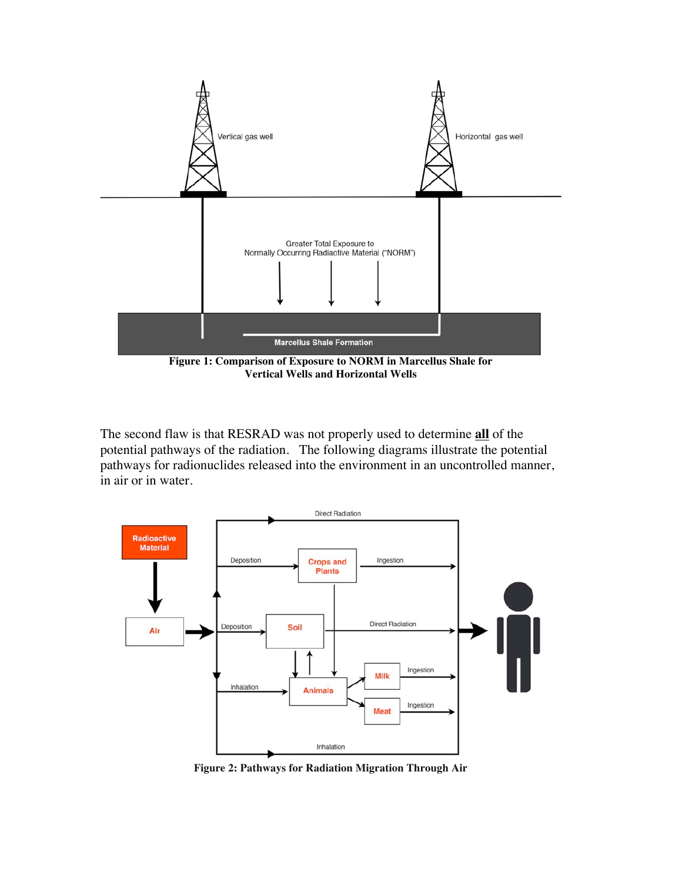

**Vertical Wells and Horizontal Wells**

The second flaw is that RESRAD was not properly used to determine **all** of the potential pathways of the radiation. The following diagrams illustrate the potential pathways for radionuclides released into the environment in an uncontrolled manner, in air or in water.



**Figure 2: Pathways for Radiation Migration Through Air**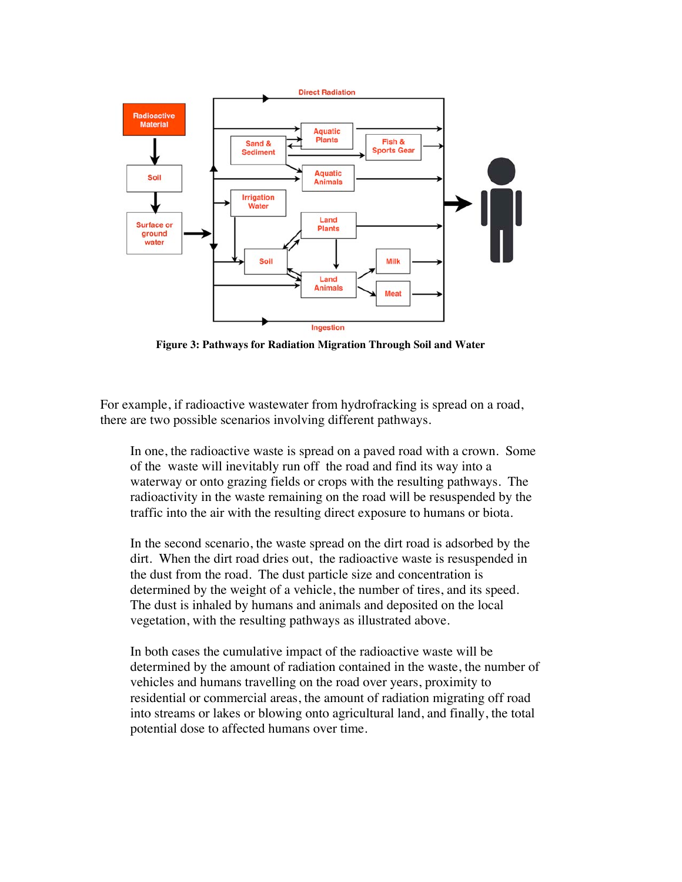

**Figure 3: Pathways for Radiation Migration Through Soil and Water**

For example, if radioactive wastewater from hydrofracking is spread on a road, there are two possible scenarios involving different pathways.

In one, the radioactive waste is spread on a paved road with a crown. Some of the waste will inevitably run off the road and find its way into a waterway or onto grazing fields or crops with the resulting pathways. The radioactivity in the waste remaining on the road will be resuspended by the traffic into the air with the resulting direct exposure to humans or biota.

In the second scenario, the waste spread on the dirt road is adsorbed by the dirt. When the dirt road dries out, the radioactive waste is resuspended in the dust from the road. The dust particle size and concentration is determined by the weight of a vehicle, the number of tires, and its speed. The dust is inhaled by humans and animals and deposited on the local vegetation, with the resulting pathways as illustrated above.

In both cases the cumulative impact of the radioactive waste will be determined by the amount of radiation contained in the waste, the number of vehicles and humans travelling on the road over years, proximity to residential or commercial areas, the amount of radiation migrating off road into streams or lakes or blowing onto agricultural land, and finally, the total potential dose to affected humans over time.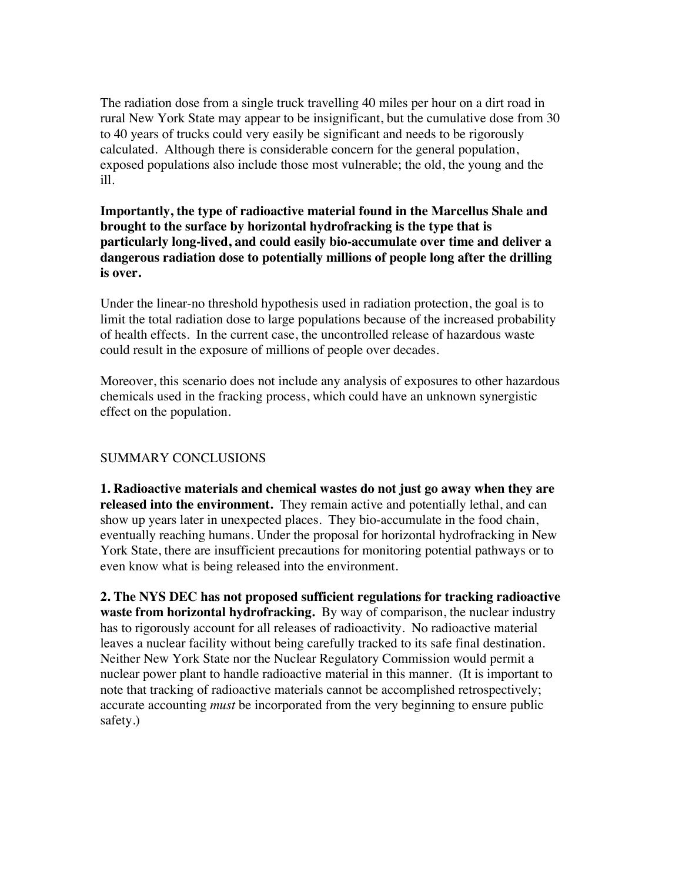The radiation dose from a single truck travelling 40 miles per hour on a dirt road in rural New York State may appear to be insignificant, but the cumulative dose from 30 to 40 years of trucks could very easily be significant and needs to be rigorously calculated. Although there is considerable concern for the general population, exposed populations also include those most vulnerable; the old, the young and the ill.

**Importantly, the type of radioactive material found in the Marcellus Shale and brought to the surface by horizontal hydrofracking is the type that is particularly long-lived, and could easily bio-accumulate over time and deliver a dangerous radiation dose to potentially millions of people long after the drilling is over.**

Under the linear-no threshold hypothesis used in radiation protection, the goal is to limit the total radiation dose to large populations because of the increased probability of health effects. In the current case, the uncontrolled release of hazardous waste could result in the exposure of millions of people over decades.

Moreover, this scenario does not include any analysis of exposures to other hazardous chemicals used in the fracking process, which could have an unknown synergistic effect on the population.

## SUMMARY CONCLUSIONS

**1. Radioactive materials and chemical wastes do not just go away when they are released into the environment.** They remain active and potentially lethal, and can show up years later in unexpected places. They bio-accumulate in the food chain, eventually reaching humans. Under the proposal for horizontal hydrofracking in New York State, there are insufficient precautions for monitoring potential pathways or to even know what is being released into the environment.

**2. The NYS DEC has not proposed sufficient regulations for tracking radioactive waste from horizontal hydrofracking.** By way of comparison, the nuclear industry has to rigorously account for all releases of radioactivity. No radioactive material leaves a nuclear facility without being carefully tracked to its safe final destination. Neither New York State nor the Nuclear Regulatory Commission would permit a nuclear power plant to handle radioactive material in this manner. (It is important to note that tracking of radioactive materials cannot be accomplished retrospectively; accurate accounting *must* be incorporated from the very beginning to ensure public safety.)